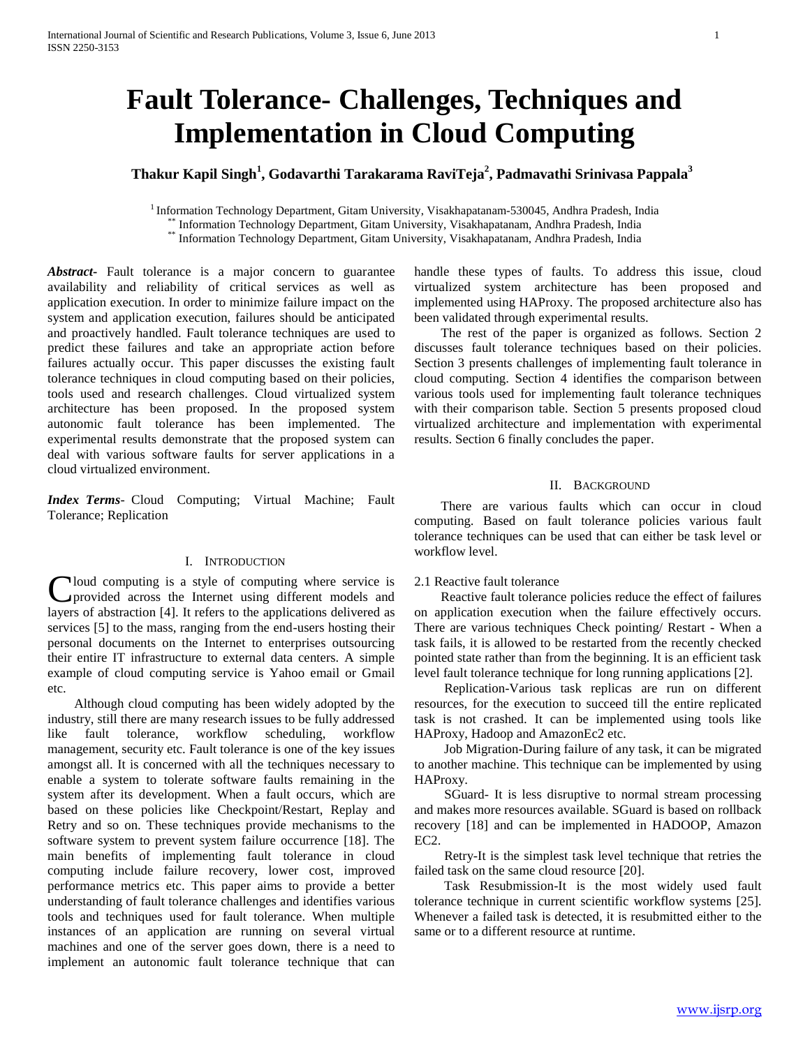# **Fault Tolerance- Challenges, Techniques and Implementation in Cloud Computing**

# **Thakur Kapil Singh<sup>1</sup> , Godavarthi Tarakarama RaviTeja<sup>2</sup> , Padmavathi Srinivasa Pappala<sup>3</sup>**

<sup>1</sup> Information Technology Department, Gitam University, Visakhapatanam-530045, Andhra Pradesh, India \*\* Information Technology Department, Gitam University, Visakhapatanam, Andhra Pradesh, India<br>\*\* Information Technology Department, Gitam University, Visakhapatanam, Andhra Pradesh, India \*\* Information Technology Department, Gitam University, Visakhapatanam, Andhra Pradesh, India

*Abstract***-** Fault tolerance is a major concern to guarantee availability and reliability of critical services as well as application execution. In order to minimize failure impact on the system and application execution, failures should be anticipated and proactively handled. Fault tolerance techniques are used to predict these failures and take an appropriate action before failures actually occur. This paper discusses the existing fault tolerance techniques in cloud computing based on their policies, tools used and research challenges. Cloud virtualized system architecture has been proposed. In the proposed system autonomic fault tolerance has been implemented. The experimental results demonstrate that the proposed system can deal with various software faults for server applications in a cloud virtualized environment.

*Index Terms*- Cloud Computing; Virtual Machine; Fault Tolerance; Replication

#### I. INTRODUCTION

Cloud computing is a style of computing where service is provided across the Internet using different models and provided across the Internet using different models and layers of abstraction [4]. It refers to the applications delivered as services [5] to the mass, ranging from the end-users hosting their personal documents on the Internet to enterprises outsourcing their entire IT infrastructure to external data centers. A simple example of cloud computing service is Yahoo email or Gmail etc.

 Although cloud computing has been widely adopted by the industry, still there are many research issues to be fully addressed like fault tolerance, workflow scheduling, workflow management, security etc. Fault tolerance is one of the key issues amongst all. It is concerned with all the techniques necessary to enable a system to tolerate software faults remaining in the system after its development. When a fault occurs, which are based on these policies like Checkpoint/Restart, Replay and Retry and so on. These techniques provide mechanisms to the software system to prevent system failure occurrence [18]. The main benefits of implementing fault tolerance in cloud computing include failure recovery, lower cost, improved performance metrics etc. This paper aims to provide a better understanding of fault tolerance challenges and identifies various tools and techniques used for fault tolerance. When multiple instances of an application are running on several virtual machines and one of the server goes down, there is a need to implement an autonomic fault tolerance technique that can handle these types of faults. To address this issue, cloud virtualized system architecture has been proposed and implemented using HAProxy. The proposed architecture also has been validated through experimental results.

 The rest of the paper is organized as follows. Section 2 discusses fault tolerance techniques based on their policies. Section 3 presents challenges of implementing fault tolerance in cloud computing. Section 4 identifies the comparison between various tools used for implementing fault tolerance techniques with their comparison table. Section 5 presents proposed cloud virtualized architecture and implementation with experimental results. Section 6 finally concludes the paper.

#### II. BACKGROUND

 There are various faults which can occur in cloud computing. Based on fault tolerance policies various fault tolerance techniques can be used that can either be task level or workflow level.

#### 2.1 Reactive fault tolerance

 Reactive fault tolerance policies reduce the effect of failures on application execution when the failure effectively occurs. There are various techniques Check pointing/ Restart *-* When a task fails, it is allowed to be restarted from the recently checked pointed state rather than from the beginning. It is an efficient task level fault tolerance technique for long running applications [2].

 Replication-Various task replicas are run on different resources, for the execution to succeed till the entire replicated task is not crashed. It can be implemented using tools like HAProxy, Hadoop and AmazonEc2 etc.

 Job Migration*-*During failure of any task, it can be migrated to another machine. This technique can be implemented by using HAProxy.

 SGuard*-* It is less disruptive to normal stream processing and makes more resources available. SGuard is based on rollback recovery [18] and can be implemented in HADOOP, Amazon EC2.

 Retry*-*It is the simplest task level technique that retries the failed task on the same cloud resource [20].

 Task Resubmission-It is the most widely used fault tolerance technique in current scientific workflow systems [25]. Whenever a failed task is detected, it is resubmitted either to the same or to a different resource at runtime.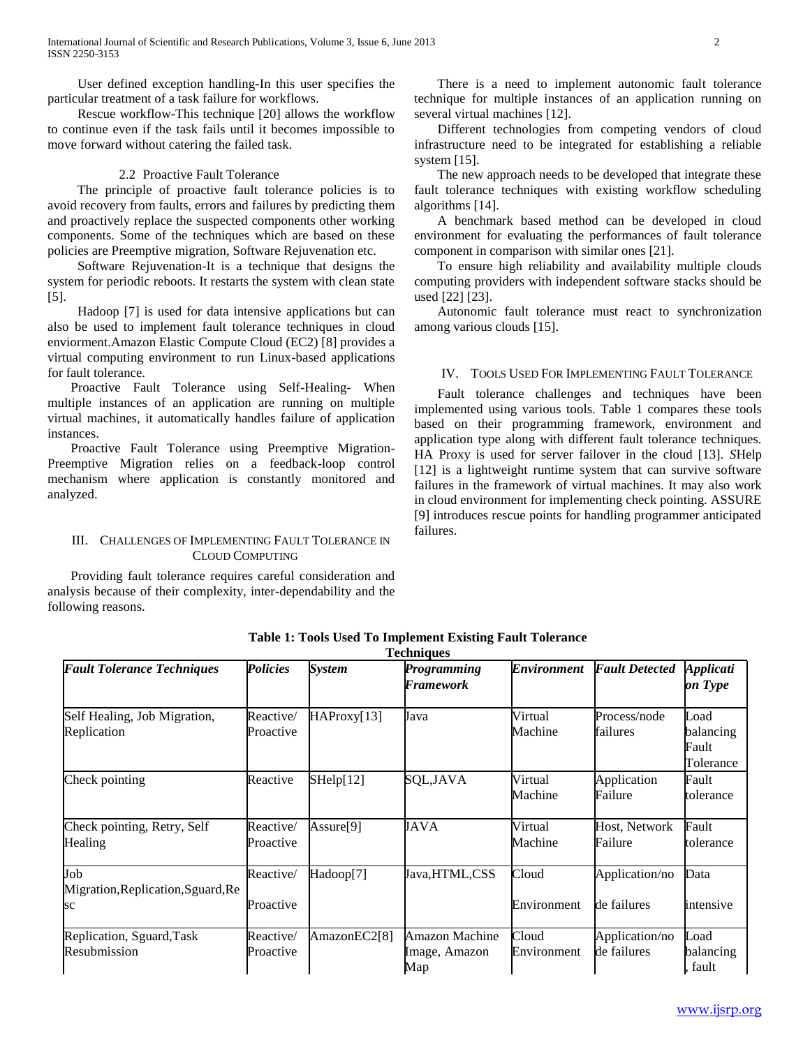User defined exception handling*-*In this user specifies the particular treatment of a task failure for workflows.

 Rescue workflow*-*This technique [20] allows the workflow to continue even if the task fails until it becomes impossible to move forward without catering the failed task.

# 2.2 Proactive Fault Tolerance

 The principle of proactive fault tolerance policies is to avoid recovery from faults, errors and failures by predicting them and proactively replace the suspected components other working components. Some of the techniques which are based on these policies are Preemptive migration, Software Rejuvenation etc.

 Software Rejuvenation-It is a technique that designs the system for periodic reboots. It restarts the system with clean state [5].

 Hadoop [7] is used for data intensive applications but can also be used to implement fault tolerance techniques in cloud enviorment.Amazon Elastic Compute Cloud (EC2) [8] provides a virtual computing environment to run Linux-based applications for fault tolerance.

 Proactive Fault Tolerance using Self-Healing- When multiple instances of an application are running on multiple virtual machines, it automatically handles failure of application instances.

 Proactive Fault Tolerance using Preemptive Migration-Preemptive Migration relies on a feedback-loop control mechanism where application is constantly monitored and analyzed.

# III. CHALLENGES OF IMPLEMENTING FAULT TOLERANCE IN CLOUD COMPUTING

 Providing fault tolerance requires careful consideration and analysis because of their complexity, inter-dependability and the following reasons.

 There is a need to implement autonomic fault tolerance technique for multiple instances of an application running on several virtual machines [12].

 Different technologies from competing vendors of cloud infrastructure need to be integrated for establishing a reliable system [15].

 The new approach needs to be developed that integrate these fault tolerance techniques with existing workflow scheduling algorithms [14].

 A benchmark based method can be developed in cloud environment for evaluating the performances of fault tolerance component in comparison with similar ones [21].

 To ensure high reliability and availability multiple clouds computing providers with independent software stacks should be used [22] [23].

 Autonomic fault tolerance must react to synchronization among various clouds [15].

# IV. TOOLS USED FOR IMPLEMENTING FAULT TOLERANCE

 Fault tolerance challenges and techniques have been implemented using various tools. Table 1 compares these tools based on their programming framework, environment and application type along with different fault tolerance techniques. HA Proxy is used for server failover in the cloud [13]. *S*Help [12] is a lightweight runtime system that can survive software failures in the framework of virtual machines. It may also work in cloud environment for implementing check pointing. ASSURE [9] introduces rescue points for handling programmer anticipated failures.

| <b>Techniques</b>                               |                        |                       |                                        |                      |                               |                                         |
|-------------------------------------------------|------------------------|-----------------------|----------------------------------------|----------------------|-------------------------------|-----------------------------------------|
| <b>Fault Tolerance Techniques</b>               | <b>Policies</b>        | <b>System</b>         | <b>Programming</b><br>Framework        | <b>Environment</b>   | <b>Fault Detected</b>         | <i><b>Applicati</b></i><br>on Type      |
| Self Healing, Job Migration,<br>Replication     | Reactive/<br>Proactive | HAProxy[13]           | Java                                   | Virtual<br>Machine   | Process/node<br>failures      | Load<br>balancing<br>Fault<br>Tolerance |
| Check pointing                                  | Reactive               | SHelp[12]             | SQL,JAVA                               | Virtual<br>Machine   | Application<br>Failure        | Fault<br>tolerance                      |
| Check pointing, Retry, Self<br>Healing          | Reactive/<br>Proactive | Assure <sup>[9]</sup> | JAVA                                   | Virtual<br>Machine   | Host, Network<br>Failure      | Fault<br>tolerance                      |
| Job<br>Migration, Replication, Sguard, Re<br>sc | Reactive/<br>Proactive | Hadoop[7]             | Java,HTML,CSS                          | Cloud<br>Environment | Application/no<br>de failures | Data<br>intensive                       |
| Replication, Sguard, Task<br>Resubmission       | Reactive/<br>Proactive | AmazonEC2[8]          | Amazon Machine<br>Image, Amazon<br>Map | Cloud<br>Environment | Application/no<br>de failures | Load<br>balancing<br>fault              |

**Table 1: Tools Used To Implement Existing Fault Tolerance**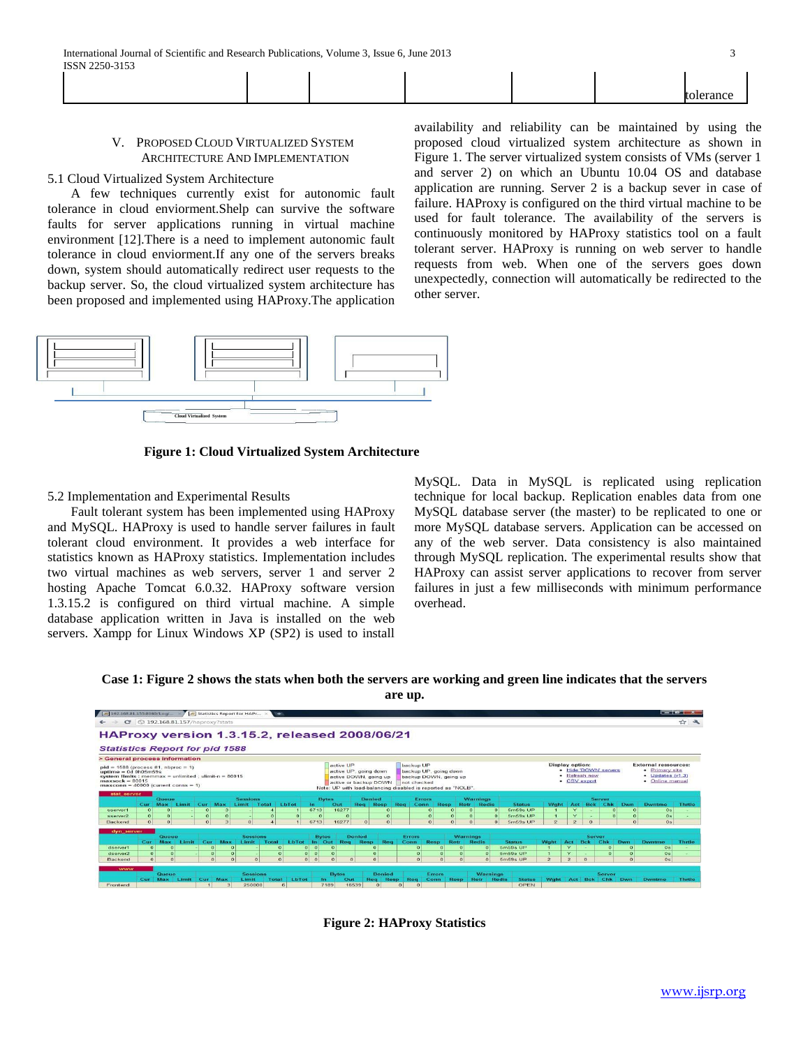| ×      |  |
|--------|--|
|        |  |
|        |  |
| ۰.     |  |
| ×<br>٠ |  |

|  |  |  | . . |  |
|--|--|--|-----|--|
|  |  |  |     |  |

#### V. PROPOSED CLOUD VIRTUALIZED SYSTEM ARCHITECTURE AND IMPLEMENTATION

#### 5.1 Cloud Virtualized System Architecture

 A few techniques currently exist for autonomic fault tolerance in cloud enviorment.Shelp can survive the software faults for server applications running in virtual machine environment [12].There is a need to implement autonomic fault tolerance in cloud enviorment.If any one of the servers breaks down, system should automatically redirect user requests to the backup server. So, the cloud virtualized system architecture has been proposed and implemented using HAProxy.The application

availability and reliability can be maintained by using the proposed cloud virtualized system architecture as shown in Figure 1. The server virtualized system consists of VMs (server 1 and server 2) on which an Ubuntu 10.04 OS and database application are running. Server 2 is a backup sever in case of failure. HAProxy is configured on the third virtual machine to be used for fault tolerance. The availability of the servers is continuously monitored by HAProxy statistics tool on a fault tolerant server. HAProxy is running on web server to handle requests from web. When one of the servers goes down unexpectedly, connection will automatically be redirected to the other server.



**Figure 1: Cloud Virtualized System Architecture**

5.2 Implementation and Experimental Results

 Fault tolerant system has been implemented using HAProxy and MySQL. HAProxy is used to handle server failures in fault tolerant cloud environment. It provides a web interface for statistics known as HAProxy statistics. Implementation includes two virtual machines as web servers, server 1 and server 2 hosting Apache Tomcat 6.0.32. HAProxy software version 1.3.15.2 is configured on third virtual machine. A simple database application written in Java is installed on the web servers. Xampp for Linux Windows XP (SP2) is used to install MySQL. Data in MySQL is replicated using replication technique for local backup. Replication enables data from one MySQL database server (the master) to be replicated to one or more MySQL database servers. Application can be accessed on any of the web server. Data consistency is also maintained through MySQL replication. The experimental results show that HAProxy can assist server applications to recover from server failures in just a few milliseconds with minimum performance overhead.

**Case 1: Figure 2 shows the stats when both the servers are working and green line indicates that the servers are up.**



**Figure 2: HAProxy Statistics**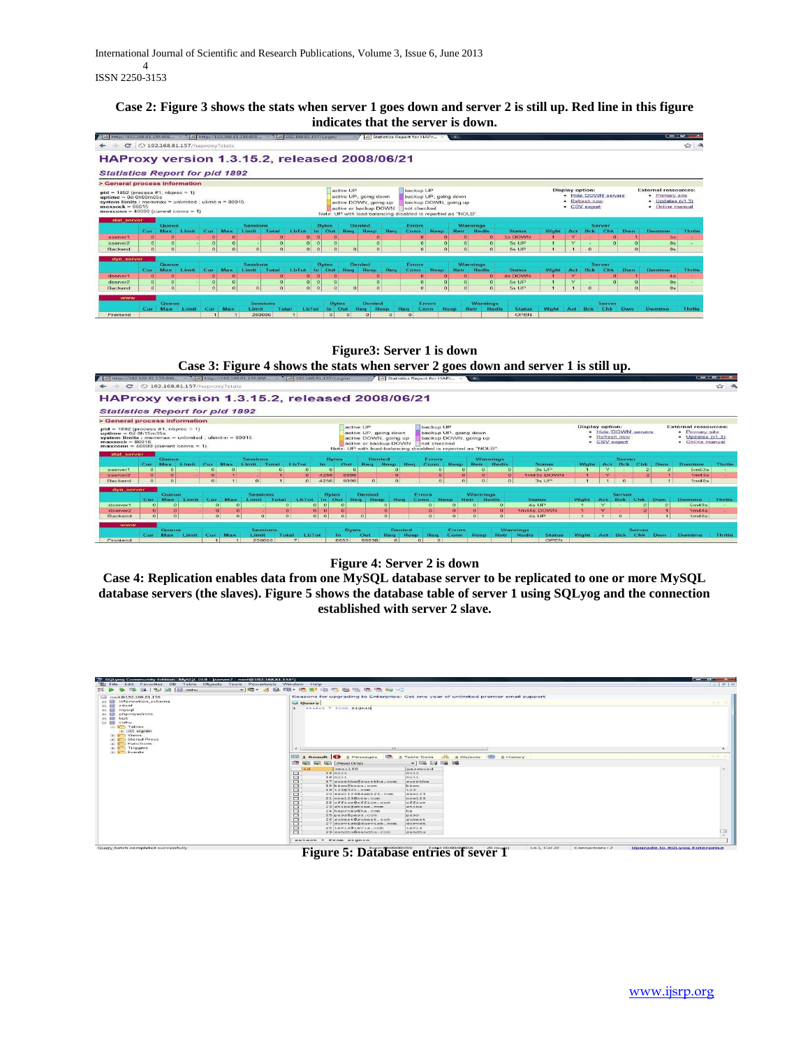# **Case 2: Figure 3 shows the stats when server 1 goes down and server 2 is still up. Red line in this figure indicates that the server is down.**



# **Figure3: Server 1 is down Case 3: Figure 4 shows the stats when server 2 goes down and server 1 is still up.**



**Figure 4: Server 2 is down**

**Case 4: Replication enables data from one MySQL database server to be replicated to one or more MySQL database servers (the slaves). Figure 5 shows the database table of server 1 using SQLyog and the connection established with server 2 slave.**

| $\frac{1}{2}$ $\frac{1}{2}$ $\frac{1}{2}$ $\frac{1}{2}$ $\frac{1}{2}$ $\frac{1}{2}$ $\frac{1}{2}$ $\frac{1}{2}$ $\frac{1}{2}$ $\frac{1}{2}$ $\frac{1}{2}$ $\frac{1}{2}$ $\frac{1}{2}$ $\frac{1}{2}$ $\frac{1}{2}$ $\frac{1}{2}$ $\frac{1}{2}$ $\frac{1}{2}$ $\frac{1}{2}$ $\frac{1}{2}$ $\frac{1}{2}$ $\frac{1}{2}$<br><b>IN THE</b> | - 396 - 496 - 596 - 596 - 596 - 59                                                                                  |                   |
|--------------------------------------------------------------------------------------------------------------------------------------------------------------------------------------------------------------------------------------------------------------------------------------------------------------------------------------|---------------------------------------------------------------------------------------------------------------------|-------------------|
|                                                                                                                                                                                                                                                                                                                                      |                                                                                                                     |                   |
| Lil root@192.168.81.158                                                                                                                                                                                                                                                                                                              | Reasons for upgrading to Enterprise: Get one year of unlimited premier email support                                |                   |
| sa <b>El</b> information schema                                                                                                                                                                                                                                                                                                      | C Query                                                                                                             | <b>HERE SHEET</b> |
| edeot<br><b>EXI ESI</b><br>a lel mysql                                                                                                                                                                                                                                                                                               | select * from signin                                                                                                |                   |
| (i) III phpmyadmin                                                                                                                                                                                                                                                                                                                   |                                                                                                                     |                   |
| test<br><b>DET END</b>                                                                                                                                                                                                                                                                                                               |                                                                                                                     |                   |
| <b>III El vishu</b>                                                                                                                                                                                                                                                                                                                  |                                                                                                                     |                   |
| <b>ED Tables</b>                                                                                                                                                                                                                                                                                                                     |                                                                                                                     |                   |
| co littil storsin                                                                                                                                                                                                                                                                                                                    |                                                                                                                     |                   |
| <b>GO &amp; D</b> Views                                                                                                                                                                                                                                                                                                              |                                                                                                                     |                   |
| <b>GO Stored Procs</b>                                                                                                                                                                                                                                                                                                               |                                                                                                                     |                   |
| <b>ED</b> Functions                                                                                                                                                                                                                                                                                                                  |                                                                                                                     |                   |
| an <b>Figgers</b>                                                                                                                                                                                                                                                                                                                    | $111 -$                                                                                                             |                   |
| <b>Gillen Events</b>                                                                                                                                                                                                                                                                                                                 |                                                                                                                     |                   |
|                                                                                                                                                                                                                                                                                                                                      | <b>iffic</b> a Table Data<br><b>MM 1 Result C 2 Messages</b><br><b>CD</b> SHistory<br>$-1$<br>d Objects             |                   |
|                                                                                                                                                                                                                                                                                                                                      |                                                                                                                     |                   |
|                                                                                                                                                                                                                                                                                                                                      | $ \overline{m}$ . $\overline{m}$ $\overline{m}$ $\overline{m}$ $\overline{m}$<br><b>Ent (2)</b> and and (Read Only) |                   |
|                                                                                                                                                                                                                                                                                                                                      | emn11ID<br>password<br>1.41                                                                                         |                   |
|                                                                                                                                                                                                                                                                                                                                      | $\Box$<br>$15$ null<br>$n$ ull                                                                                      |                   |
|                                                                                                                                                                                                                                                                                                                                      | □<br>$16 \text{ m}$ $11$<br>mu11                                                                                    |                   |
|                                                                                                                                                                                                                                                                                                                                      | $\Box$<br>17 surekha@surekha.com<br>murmitin                                                                        |                   |
|                                                                                                                                                                                                                                                                                                                                      | $\Box$<br>10 binu@binu.com<br>binu.                                                                                 |                   |
|                                                                                                                                                                                                                                                                                                                                      | ▭<br>19 1238321, com<br>123                                                                                         |                   |
|                                                                                                                                                                                                                                                                                                                                      | 20 aam11230aam123.com<br>$m + 23$<br>▭                                                                              |                   |
|                                                                                                                                                                                                                                                                                                                                      | ▭<br>21 new1230new.com<br>new123                                                                                    |                   |
|                                                                                                                                                                                                                                                                                                                                      | ▭<br>22 office@office.com<br>office                                                                                 |                   |
|                                                                                                                                                                                                                                                                                                                                      | 23 ahine@ahine.com<br>▭<br><b>MISSION</b>                                                                           |                   |
|                                                                                                                                                                                                                                                                                                                                      | $\Box$<br>24 haproxy@ha.com<br>ha.                                                                                  |                   |
|                                                                                                                                                                                                                                                                                                                                      | 25 pass@pass.com<br>□<br>page                                                                                       |                   |
|                                                                                                                                                                                                                                                                                                                                      | 26 sumert@sumeet.com<br>$\Box$<br>sume et                                                                           |                   |
|                                                                                                                                                                                                                                                                                                                                      | ▭<br>27 durvish@durvish.com<br>durysh                                                                               |                   |
|                                                                                                                                                                                                                                                                                                                                      | 20 levis@levis.com<br>▭<br>1evis                                                                                    |                   |
|                                                                                                                                                                                                                                                                                                                                      | ▭<br>29 gandhu@gandhu.com<br>an an ethau                                                                            |                   |

**Figure 5: Database entries of sever 1**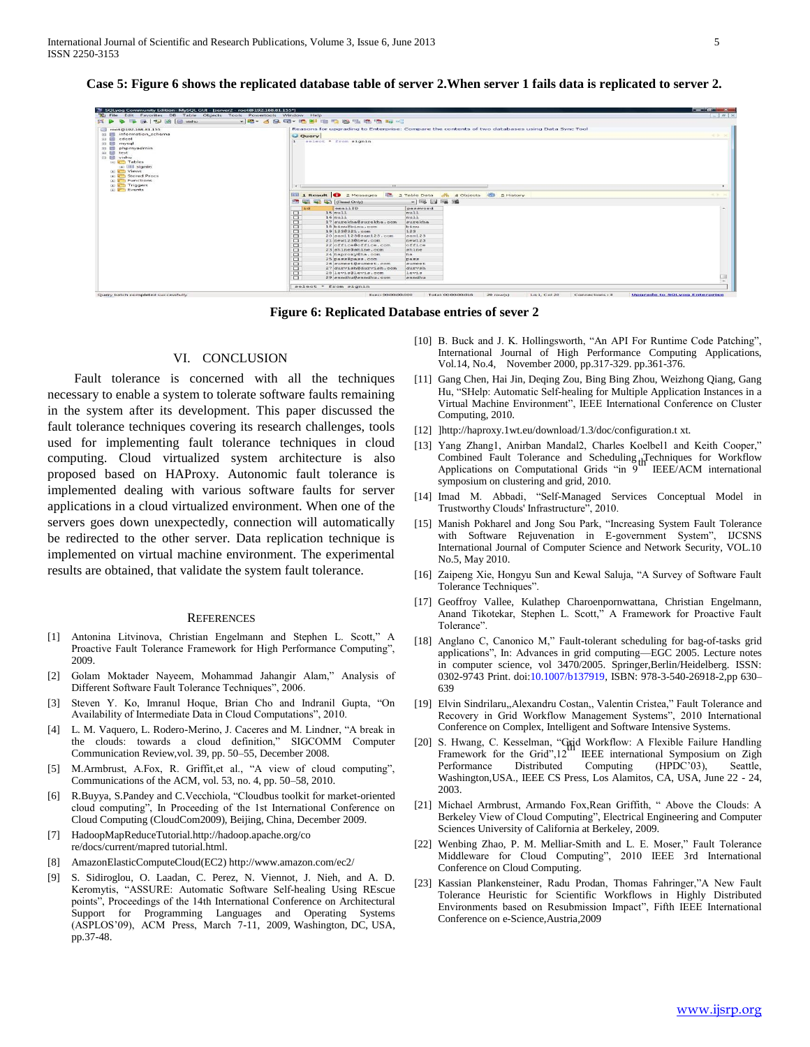$rac{Fav}{r}$ mites DB<br>≪নাকি টি  $\frac{Pow}{P}$ ertools Window Help<br>《乌属·纳勒·纳西斯·纳斯· Reasons for upgrading to E<br>© Query<br>1 select \* from signin **BOULD** ible Data <mark>d<sup>9</sup>s ⊈</mark> Objects<br>⇒ lling t⊞al lingui lenge  $\overline{c}$ **REAR 1** Result  $scale ~ < ~ from ~ sign$ <u>try batch completed successfully</u>

**Case 5: Figure 6 shows the replicated database table of server 2.When server 1 fails data is replicated to server 2.**

**Figure 6: Replicated Database entries of sever 2**

# VI. CONCLUSION

 Fault tolerance is concerned with all the techniques necessary to enable a system to tolerate software faults remaining in the system after its development. This paper discussed the fault tolerance techniques covering its research challenges, tools used for implementing fault tolerance techniques in cloud computing. Cloud virtualized system architecture is also proposed based on HAProxy. Autonomic fault tolerance is implemented dealing with various software faults for server applications in a cloud virtualized environment. When one of the servers goes down unexpectedly, connection will automatically be redirected to the other server. Data replication technique is implemented on virtual machine environment. The experimental results are obtained, that validate the system fault tolerance.

#### **REFERENCES**

- [1] Antonina Litvinova, Christian Engelmann and Stephen L. Scott," A Proactive Fault Tolerance Framework for High Performance Computing", 2009.
- [2] Golam Moktader Nayeem, Mohammad Jahangir Alam," Analysis of Different Software Fault Tolerance Techniques", 2006.
- Steven Y. Ko, Imranul Hoque, Brian Cho and Indranil Gupta, "On Availability of Intermediate Data in Cloud Computations", 2010.
- [4] L. M. Vaquero, L. Rodero-Merino, J. Caceres and M. Lindner, "A break in the clouds: towards a cloud definition," SIGCOMM Computer Communication Review,vol. 39, pp. 50–55, December 2008.
- [5] M.Armbrust, A.Fox, R. Griffit,et al., "A view of cloud computing", Communications of the ACM, vol. 53, no. 4, pp. 50–58, 2010.
- [6] R.Buyya, S.Pandey and C.Vecchiola, "Cloudbus toolkit for market-oriented cloud computing", In Proceeding of the 1st International Conference on Cloud Computing (CloudCom2009), Beijing, China, December 2009.
- [7] HadoopMapReduceTutorial.http://hadoop.apache.org/co re/docs/current/mapred tutorial.html.
- [8] AmazonElasticComputeCloud(EC2) http://www.amazon.com/ec2/
- [9] S. Sidiroglou, O. Laadan, C. Perez, N. Viennot, J. Nieh, and A. D. Keromytis, "ASSURE: Automatic Software Self-healing Using REscue points", Proceedings of the 14th International Conference on Architectural Support for Programming Languages and Operating Systems (ASPLOS'09), ACM Press, March 7-11, 2009, Washington, DC, USA, pp.37-48.
- [10] B. Buck and J. K. Hollingsworth, "An API For Runtime Code Patching", International Journal of High Performance Computing Applications, Vol.14, No.4, November 2000, pp.317-329. pp.361-376.
- [11] Gang Chen, Hai Jin, Deqing Zou, Bing Bing Zhou, Weizhong Qiang, Gang Hu, "SHelp: Automatic Self-healing for Multiple Application Instances in a Virtual Machine Environment", IEEE International Conference on Cluster Computing, 2010.
- [12] ]http://haproxy.1wt.eu/download/1.3/doc/configuration.t xt.
- [13] Yang Zhang1, Anirban Mandal2, Charles Koelbel1 and Keith Cooper," Combined Fault Tolerance and Scheduling Techniques for Workflow Applications on Computational Grids "in 9 IEEE/ACM international symposium on clustering and grid, 2010.
- [14] Imad M. Abbadi, "Self-Managed Services Conceptual Model in Trustworthy Clouds' Infrastructure", 2010.
- [15] Manish Pokharel and Jong Sou Park, "Increasing System Fault Tolerance with Software Rejuvenation in E-government System", IJCSNS International Journal of Computer Science and Network Security, VOL.10 No.5, May 2010.
- [16] Zaipeng Xie, Hongyu Sun and Kewal Saluja, "A Survey of Software Fault Tolerance Techniques".
- [17] Geoffroy Vallee, Kulathep Charoenpornwattana, Christian Engelmann, Anand Tikotekar, Stephen L. Scott," A Framework for Proactive Fault Tolerance".
- [18] Anglano C, Canonico M," Fault-tolerant scheduling for bag-of-tasks grid applications", In: Advances in grid computing—EGC 2005. Lecture notes in computer science, vol 3470/2005. Springer,Berlin/Heidelberg. ISSN: 0302-9743 Print. doi:10.1007/b137919, ISBN: 978-3-540-26918-2,pp 630– 639
- [19] Elvin Sindrilaru,,Alexandru Costan,, Valentin Cristea," Fault Tolerance and Recovery in Grid Workflow Management Systems", 2010 International Conference on Complex, Intelligent and Software Intensive Systems.
- [20] S. Hwang, C. Kesselman, "Grid Workflow: A Flexible Failure Handling Framework for the Grid",12 IEEE international Symposium on Zigh Performance Distributed Computing (HPDC'03), Seattle, Washington,USA., IEEE CS Press, Los Alamitos, CA, USA, June 22 - 24, 2003.
- [21] Michael Armbrust, Armando Fox, Rean Griffith, " Above the Clouds: A Berkeley View of Cloud Computing", Electrical Engineering and Computer Sciences University of California at Berkeley, 2009.
- [22] Wenbing Zhao, P. M. Melliar-Smith and L. E. Moser," Fault Tolerance Middleware for Cloud Computing", 2010 IEEE 3rd International Conference on Cloud Computing.
- [23] Kassian Plankensteiner, Radu Prodan, Thomas Fahringer,"A New Fault Tolerance Heuristic for Scientific Workflows in Highly Distributed Environments based on Resubmission Impact", Fifth IEEE International Conference on e-Science,Austria,2009